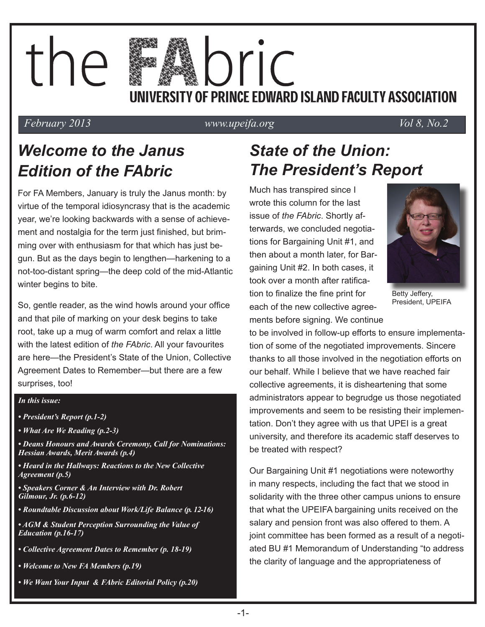# the pric UNIVERSITY OF PRINCE EDWARD ISLAND FACULTY ASSOCIATION

#### *February 2013 www.upeifa.org Vol 8, No.2*

## *Welcome to the Janus Edition of the FAbric*

For FA Members, January is truly the Janus month: by virtue of the temporal idiosyncrasy that is the academic year, we're looking backwards with a sense of achievement and nostalgia for the term just finished, but brimming over with enthusiasm for that which has just begun. But as the days begin to lengthen—harkening to a not-too-distant spring—the deep cold of the mid-Atlantic winter begins to bite.

So, gentle reader, as the wind howls around your office and that pile of marking on your desk begins to take root, take up a mug of warm comfort and relax a little with the latest edition of *the FAbric*. All your favourites are here—the President's State of the Union, Collective Agreement Dates to Remember—but there are a few surprises, too!

#### *In this issue:*

- *President's Report (p.1-2)*
- *What Are We Reading (p.2-3)*
- *Deans Honours and Awards Ceremony, Call for Nominations: Hessian Awards, Merit Awards (p.4)*
- *Heard in the Hallways: Reactions to the New Collective Agreement (p.5)*
- *Speakers Corner & An Interview with Dr. Robert Gilmour, Jr. (p.6-12)*
- *Roundtable Discussion about Work/Life Balance (p. 12-16)*

*• AGM & Student Perception Surrounding the Value of Education (p.16-17)* 

- *Collective Agreement Dates to Remember (p. 18-19)*
- *Welcome to New FA Members (p.19)*
- *We Want Your Input & FAbric Editorial Policy (p.20)*

## *State of the Union: The President's Report*

Much has transpired since I wrote this column for the last issue of *the FAbric*. Shortly afterwards, we concluded negotiations for Bargaining Unit #1, and then about a month later, for Bargaining Unit #2. In both cases, it took over a month after ratification to finalize the fine print for each of the new collective agreements before signing. We continue



Betty Jeffery, President, UPEIFA

to be involved in follow-up efforts to ensure implementation of some of the negotiated improvements. Sincere thanks to all those involved in the negotiation efforts on our behalf. While I believe that we have reached fair collective agreements, it is disheartening that some administrators appear to begrudge us those negotiated improvements and seem to be resisting their implementation. Don't they agree with us that UPEI is a great university, and therefore its academic staff deserves to be treated with respect?

Our Bargaining Unit #1 negotiations were noteworthy in many respects, including the fact that we stood in solidarity with the three other campus unions to ensure that what the UPEIFA bargaining units received on the salary and pension front was also offered to them. A joint committee has been formed as a result of a negotiated BU #1 Memorandum of Understanding "to address the clarity of language and the appropriateness of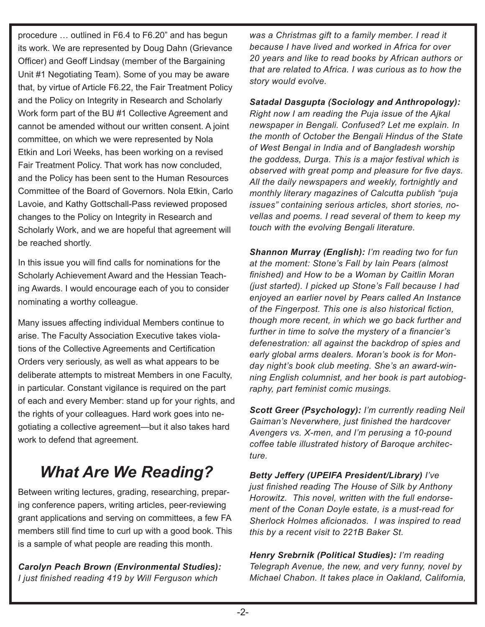procedure … outlined in F6.4 to F6.20" and has begun its work. We are represented by Doug Dahn (Grievance Officer) and Geoff Lindsay (member of the Bargaining Unit #1 Negotiating Team). Some of you may be aware that, by virtue of Article F6.22, the Fair Treatment Policy and the Policy on Integrity in Research and Scholarly Work form part of the BU #1 Collective Agreement and cannot be amended without our written consent. A joint committee, on which we were represented by Nola Etkin and Lori Weeks, has been working on a revised Fair Treatment Policy. That work has now concluded, and the Policy has been sent to the Human Resources Committee of the Board of Governors. Nola Etkin, Carlo Lavoie, and Kathy Gottschall-Pass reviewed proposed changes to the Policy on Integrity in Research and Scholarly Work, and we are hopeful that agreement will be reached shortly.

In this issue you will find calls for nominations for the Scholarly Achievement Award and the Hessian Teaching Awards. I would encourage each of you to consider nominating a worthy colleague.

Many issues affecting individual Members continue to arise. The Faculty Association Executive takes violations of the Collective Agreements and Certification Orders very seriously, as well as what appears to be deliberate attempts to mistreat Members in one Faculty, in particular. Constant vigilance is required on the part of each and every Member: stand up for your rights, and the rights of your colleagues. Hard work goes into negotiating a collective agreement—but it also takes hard work to defend that agreement.

## *What Are We Reading?*

Between writing lectures, grading, researching, preparing conference papers, writing articles, peer-reviewing grant applications and serving on committees, a few FA members still find time to curl up with a good book. This is a sample of what people are reading this month.

*Carolyn Peach Brown (Environmental Studies): I just finished reading 419 by Will Ferguson which*

*was a Christmas gift to a family member. I read it because I have lived and worked in Africa for over 20 years and like to read books by African authors or that are related to Africa. I was curious as to how the story would evolve.*

*Satadal Dasgupta (Sociology and Anthropology): Right now I am reading the Puja issue of the Ajkal newspaper in Bengali. Confused? Let me explain. In the month of October the Bengali Hindus of the State of West Bengal in India and of Bangladesh worship the goddess, Durga. This is a major festival which is observed with great pomp and pleasure for five days. All the daily newspapers and weekly, fortnightly and monthly literary magazines of Calcutta publish "puja issues" containing serious articles, short stories, novellas and poems. I read several of them to keep my touch with the evolving Bengali literature.*

*Shannon Murray (English): I'm reading two for fun at the moment: Stone's Fall by Iain Pears (almost finished) and How to be a Woman by Caitlin Moran (just started). I picked up Stone's Fall because I had enjoyed an earlier novel by Pears called An Instance of the Fingerpost. This one is also historical fiction, though more recent, in which we go back further and further in time to solve the mystery of a financier's defenestration: all against the backdrop of spies and early global arms dealers. Moran's book is for Monday night's book club meeting. She's an award-winning English columnist, and her book is part autobiography, part feminist comic musings.* 

*Scott Greer (Psychology): I'm currently reading Neil Gaiman's Neverwhere, just finished the hardcover Avengers vs. X-men, and I'm perusing a 10-pound coffee table illustrated history of Baroque architecture.* 

*Betty Jeffery (UPEIFA President/Library) I've just finished reading The House of Silk by Anthony Horowitz. This novel, written with the full endorsement of the Conan Doyle estate, is a must-read for Sherlock Holmes aficionados. I was inspired to read this by a recent visit to 221B Baker St.*

*Henry Srebrnik (Political Studies): I'm reading Telegraph Avenue, the new, and very funny, novel by Michael Chabon. It takes place in Oakland, California,*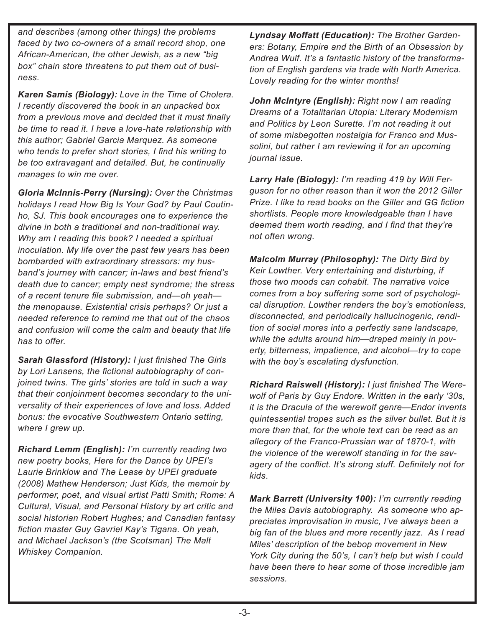*and describes (among other things) the problems faced by two co-owners of a small record shop, one African-American, the other Jewish, as a new "big box" chain store threatens to put them out of business.*

*Karen Samis (Biology): Love in the Time of Cholera. I recently discovered the book in an unpacked box from a previous move and decided that it must finally be time to read it. I have a love-hate relationship with this author; Gabriel Garcia Marquez. As someone who tends to prefer short stories, I find his writing to be too extravagant and detailed. But, he continually manages to win me over.* 

*Gloria McInnis-Perry (Nursing): Over the Christmas holidays I read How Big Is Your God? by Paul Coutinho, SJ. This book encourages one to experience the divine in both a traditional and non-traditional way. Why am I reading this book? I needed a spiritual inoculation. My life over the past few years has been bombarded with extraordinary stressors: my husband's journey with cancer; in-laws and best friend's death due to cancer; empty nest syndrome; the stress of a recent tenure file submission, and—oh yeah the menopause. Existential crisis perhaps? Or just a needed reference to remind me that out of the chaos and confusion will come the calm and beauty that life has to offer.*

*Sarah Glassford (History): I just finished The Girls by Lori Lansens, the fictional autobiography of conjoined twins. The girls' stories are told in such a way that their conjoinment becomes secondary to the universality of their experiences of love and loss. Added bonus: the evocative Southwestern Ontario setting, where I grew up.* 

*Richard Lemm (English): I'm currently reading two new poetry books, Here for the Dance by UPEI's Laurie Brinklow and The Lease by UPEI graduate (2008) Mathew Henderson; Just Kids, the memoir by performer, poet, and visual artist Patti Smith; Rome: A Cultural, Visual, and Personal History by art critic and social historian Robert Hughes; and Canadian fantasy fiction master Guy Gavriel Kay's Tigana. Oh yeah, and Michael Jackson's (the Scotsman) The Malt Whiskey Companion.*

*Lyndsay Moffatt (Education): The Brother Gardeners: Botany, Empire and the Birth of an Obsession by Andrea Wulf. It's a fantastic history of the transformation of English gardens via trade with North America. Lovely reading for the winter months!*

*John McIntyre (English): Right now I am reading Dreams of a Totalitarian Utopia: Literary Modernism and Politics by Leon Surette. I'm not reading it out of some misbegotten nostalgia for Franco and Mussolini, but rather I am reviewing it for an upcoming journal issue.*

*Larry Hale (Biology): I'm reading 419 by Will Ferguson for no other reason than it won the 2012 Giller Prize. I like to read books on the Giller and GG fiction shortlists. People more knowledgeable than I have deemed them worth reading, and I find that they're not often wrong.*

*Malcolm Murray (Philosophy): The Dirty Bird by Keir Lowther. Very entertaining and disturbing, if those two moods can cohabit. The narrative voice comes from a boy suffering some sort of psychological disruption. Lowther renders the boy's emotionless, disconnected, and periodically hallucinogenic, rendition of social mores into a perfectly sane landscape, while the adults around him—draped mainly in poverty, bitterness, impatience, and alcohol—try to cope with the boy's escalating dysfunction.*

*Richard Raiswell (History): I just finished The Werewolf of Paris by Guy Endore. Written in the early '30s, it is the Dracula of the werewolf genre—Endor invents quintessential tropes such as the silver bullet. But it is more than that, for the whole text can be read as an allegory of the Franco-Prussian war of 1870-1, with the violence of the werewolf standing in for the savagery of the conflict. It's strong stuff. Definitely not for kids*.

*Mark Barrett (University 100): I'm currently reading the Miles Davis autobiography. As someone who appreciates improvisation in music, I've always been a big fan of the blues and more recently jazz. As I read Miles' description of the bebop movement in New York City during the 50's, I can't help but wish I could have been there to hear some of those incredible jam sessions.*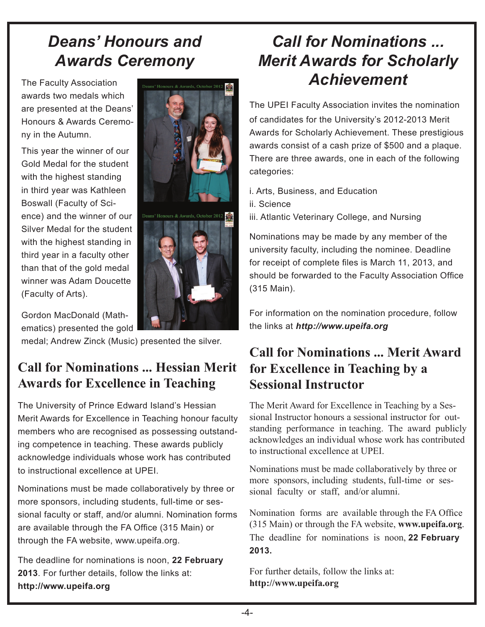### *Deans' Honours and Awards Ceremony*

The Faculty Association awards two medals which are presented at the Deans' Honours & Awards Ceremony in the Autumn.

This year the winner of our Gold Medal for the student with the highest standing in third year was Kathleen Boswall (Faculty of Science) and the winner of our Silver Medal for the student with the highest standing in third year in a faculty other than that of the gold medal winner was Adam Doucette (Faculty of Arts).



Gordon MacDonald (Mathematics) presented the gold

medal; Andrew Zinck (Music) presented the silver.

### **Call for Nominations ... Hessian Merit Awards for Excellence in Teaching**

The University of Prince Edward Island's Hessian Merit Awards for Excellence in Teaching honour faculty members who are recognised as possessing outstanding competence in teaching. These awards publicly acknowledge individuals whose work has contributed to instructional excellence at UPEI.

Nominations must be made collaboratively by three or more sponsors, including students, full-time or sessional faculty or staff, and/or alumni. Nomination forms are available through the FA Office (315 Main) or through the FA website, www.upeifa.org.

The deadline for nominations is noon, **22 February 2013**. For further details, follow the links at: **http://www.upeifa.org**

## *Call for Nominations ... Merit Awards for Scholarly Achievement*

The UPEI Faculty Association invites the nomination of candidates for the University's 2012-2013 Merit Awards for Scholarly Achievement. These prestigious awards consist of a cash prize of \$500 and a plaque. There are three awards, one in each of the following categories:

i. Arts, Business, and Education ii. Science

iii. Atlantic Veterinary College, and Nursing

Nominations may be made by any member of the university faculty, including the nominee. Deadline for receipt of complete files is March 11, 2013, and should be forwarded to the Faculty Association Office (315 Main).

For information on the nomination procedure, follow the links at *http://www.upeifa.org*

### **Call for Nominations ... Merit Award for Excellence in Teaching by a Sessional Instructor**

The Merit Award for Excellence in Teaching by a Sessional Instructor honours a sessional instructor for outstanding performance in teaching. The award publicly acknowledges an individual whose work has contributed to instructional excellence at UPEI.

Nominations must be made collaboratively by three or more sponsors, including students, full-time or sessional faculty or staff, and/or alumni.

Nomination forms are available through the FA Office (315 Main) or through the FA website, **www.upeifa.org**. The deadline for nominations is noon, **22 February 2013.**

For further details, follow the links at: **http://www.upeifa.org**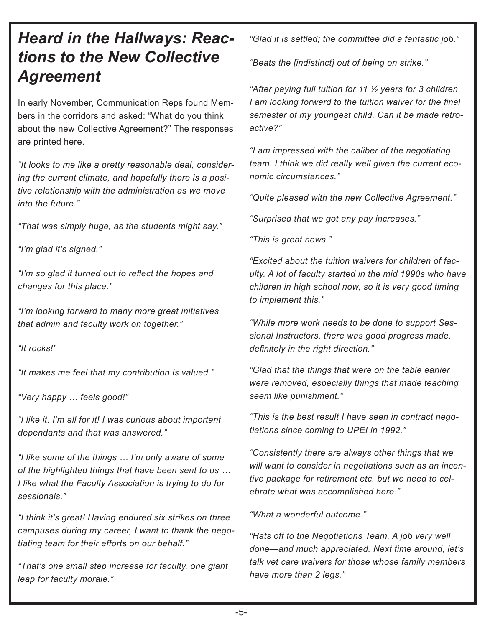### *Heard in the Hallways: Reactions to the New Collective Agreement*

In early November, Communication Reps found Members in the corridors and asked: "What do you think about the new Collective Agreement?" The responses are printed here.

*"It looks to me like a pretty reasonable deal, considering the current climate, and hopefully there is a positive relationship with the administration as we move into the future."*

*"That was simply huge, as the students might say."*

*"I'm glad it's signed."*

*"I'm so glad it turned out to reflect the hopes and changes for this place."*

*"I'm looking forward to many more great initiatives that admin and faculty work on together."*

*"It rocks!"*

*"It makes me feel that my contribution is valued."*

*"Very happy … feels good!"*

*"I like it. I'm all for it! I was curious about important dependants and that was answered."*

*"I like some of the things … I'm only aware of some of the highlighted things that have been sent to us … I like what the Faculty Association is trying to do for sessionals."*

*"I think it's great! Having endured six strikes on three campuses during my career, I want to thank the negotiating team for their efforts on our behalf."*

*"That's one small step increase for faculty, one giant leap for faculty morale."*

*"Glad it is settled; the committee did a fantastic job."*

*"Beats the [indistinct] out of being on strike."*

*"After paying full tuition for 11 ½ years for 3 children I am looking forward to the tuition waiver for the final semester of my youngest child. Can it be made retroactive?"*

*"I am impressed with the caliber of the negotiating team. I think we did really well given the current economic circumstances."*

*"Quite pleased with the new Collective Agreement."*

*"Surprised that we got any pay increases."*

*"This is great news."*

*"Excited about the tuition waivers for children of faculty. A lot of faculty started in the mid 1990s who have children in high school now, so it is very good timing to implement this."*

*"While more work needs to be done to support Sessional Instructors, there was good progress made, definitely in the right direction."*

*"Glad that the things that were on the table earlier were removed, especially things that made teaching seem like punishment."*

*"This is the best result I have seen in contract negotiations since coming to UPEI in 1992."*

*"Consistently there are always other things that we will want to consider in negotiations such as an incentive package for retirement etc. but we need to celebrate what was accomplished here."*

*"What a wonderful outcome."*

*"Hats off to the Negotiations Team. A job very well done—and much appreciated. Next time around, let's talk vet care waivers for those whose family members have more than 2 legs."*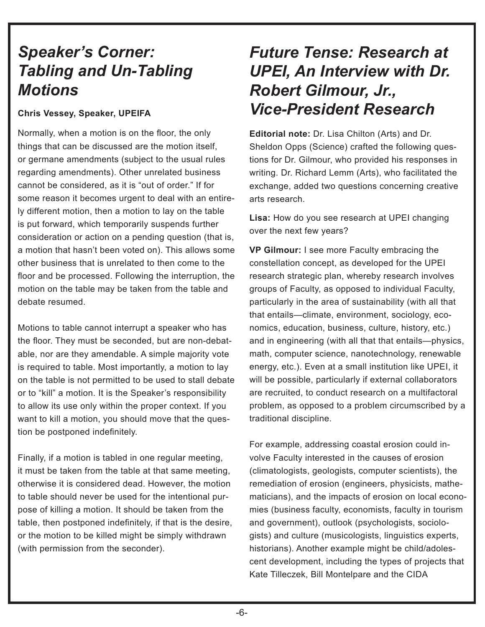### *Speaker's Corner: Tabling and Un-Tabling Motions*

#### **Chris Vessey, Speaker, UPEIFA**

Normally, when a motion is on the floor, the only things that can be discussed are the motion itself, or germane amendments (subject to the usual rules regarding amendments). Other unrelated business cannot be considered, as it is "out of order." If for some reason it becomes urgent to deal with an entirely different motion, then a motion to lay on the table is put forward, which temporarily suspends further consideration or action on a pending question (that is, a motion that hasn't been voted on). This allows some other business that is unrelated to then come to the floor and be processed. Following the interruption, the motion on the table may be taken from the table and debate resumed.

Motions to table cannot interrupt a speaker who has the floor. They must be seconded, but are non-debatable, nor are they amendable. A simple majority vote is required to table. Most importantly, a motion to lay on the table is not permitted to be used to stall debate or to "kill" a motion. It is the Speaker's responsibility to allow its use only within the proper context. If you want to kill a motion, you should move that the question be postponed indefinitely.

Finally, if a motion is tabled in one regular meeting, it must be taken from the table at that same meeting, otherwise it is considered dead. However, the motion to table should never be used for the intentional purpose of killing a motion. It should be taken from the table, then postponed indefinitely, if that is the desire, or the motion to be killed might be simply withdrawn (with permission from the seconder).

### *Future Tense: Research at UPEI, An Interview with Dr. Robert Gilmour, Jr., Vice-President Research*

**Editorial note:** Dr. Lisa Chilton (Arts) and Dr. Sheldon Opps (Science) crafted the following questions for Dr. Gilmour, who provided his responses in writing. Dr. Richard Lemm (Arts), who facilitated the exchange, added two questions concerning creative arts research.

**Lisa:** How do you see research at UPEI changing over the next few years?

**VP Gilmour:** I see more Faculty embracing the constellation concept, as developed for the UPEI research strategic plan, whereby research involves groups of Faculty, as opposed to individual Faculty, particularly in the area of sustainability (with all that that entails—climate, environment, sociology, economics, education, business, culture, history, etc.) and in engineering (with all that that entails—physics, math, computer science, nanotechnology, renewable energy, etc.). Even at a small institution like UPEI, it will be possible, particularly if external collaborators are recruited, to conduct research on a multifactoral problem, as opposed to a problem circumscribed by a traditional discipline.

For example, addressing coastal erosion could involve Faculty interested in the causes of erosion (climatologists, geologists, computer scientists), the remediation of erosion (engineers, physicists, mathematicians), and the impacts of erosion on local economies (business faculty, economists, faculty in tourism and government), outlook (psychologists, sociologists) and culture (musicologists, linguistics experts, historians). Another example might be child/adolescent development, including the types of projects that Kate Tilleczek, Bill Montelpare and the CIDA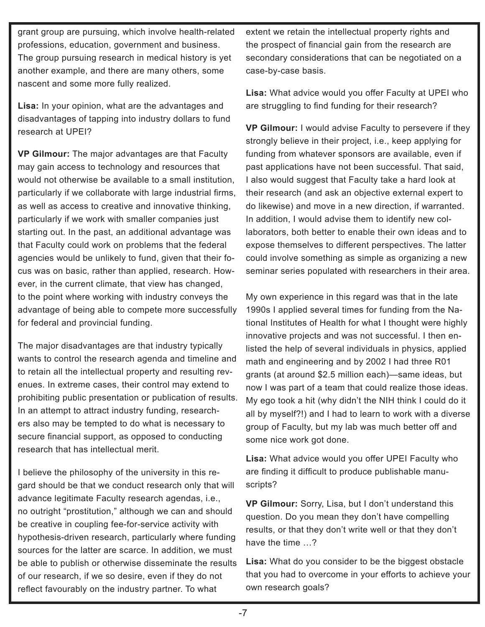grant group are pursuing, which involve health-related professions, education, government and business. The group pursuing research in medical history is yet another example, and there are many others, some nascent and some more fully realized.

**Lisa:** In your opinion, what are the advantages and disadvantages of tapping into industry dollars to fund research at UPEI?

**VP Gilmour:** The major advantages are that Faculty may gain access to technology and resources that would not otherwise be available to a small institution, particularly if we collaborate with large industrial firms, as well as access to creative and innovative thinking, particularly if we work with smaller companies just starting out. In the past, an additional advantage was that Faculty could work on problems that the federal agencies would be unlikely to fund, given that their focus was on basic, rather than applied, research. However, in the current climate, that view has changed, to the point where working with industry conveys the advantage of being able to compete more successfully for federal and provincial funding.

The major disadvantages are that industry typically wants to control the research agenda and timeline and to retain all the intellectual property and resulting revenues. In extreme cases, their control may extend to prohibiting public presentation or publication of results. In an attempt to attract industry funding, researchers also may be tempted to do what is necessary to secure financial support, as opposed to conducting research that has intellectual merit.

I believe the philosophy of the university in this regard should be that we conduct research only that will advance legitimate Faculty research agendas, i.e., no outright "prostitution," although we can and should be creative in coupling fee-for-service activity with hypothesis-driven research, particularly where funding sources for the latter are scarce. In addition, we must be able to publish or otherwise disseminate the results of our research, if we so desire, even if they do not reflect favourably on the industry partner. To what

extent we retain the intellectual property rights and the prospect of financial gain from the research are secondary considerations that can be negotiated on a case-by-case basis.

**Lisa:** What advice would you offer Faculty at UPEI who are struggling to find funding for their research?

**VP Gilmour:** I would advise Faculty to persevere if they strongly believe in their project, i.e., keep applying for funding from whatever sponsors are available, even if past applications have not been successful. That said, I also would suggest that Faculty take a hard look at their research (and ask an objective external expert to do likewise) and move in a new direction, if warranted. In addition, I would advise them to identify new collaborators, both better to enable their own ideas and to expose themselves to different perspectives. The latter could involve something as simple as organizing a new seminar series populated with researchers in their area.

My own experience in this regard was that in the late 1990s I applied several times for funding from the National Institutes of Health for what I thought were highly innovative projects and was not successful. I then enlisted the help of several individuals in physics, applied math and engineering and by 2002 I had three R01 grants (at around \$2.5 million each)—same ideas, but now I was part of a team that could realize those ideas. My ego took a hit (why didn't the NIH think I could do it all by myself?!) and I had to learn to work with a diverse group of Faculty, but my lab was much better off and some nice work got done.

**Lisa:** What advice would you offer UPEI Faculty who are finding it difficult to produce publishable manuscripts?

**VP Gilmour:** Sorry, Lisa, but I don't understand this question. Do you mean they don't have compelling results, or that they don't write well or that they don't have the time …?

**Lisa:** What do you consider to be the biggest obstacle that you had to overcome in your efforts to achieve your own research goals?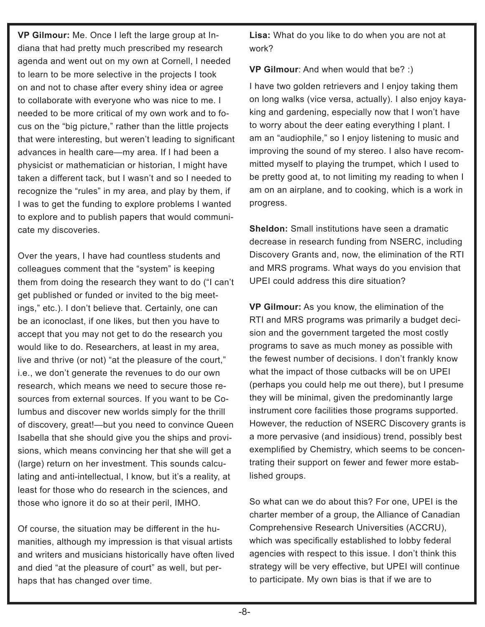**VP Gilmour:** Me. Once I left the large group at Indiana that had pretty much prescribed my research agenda and went out on my own at Cornell, I needed to learn to be more selective in the projects I took on and not to chase after every shiny idea or agree to collaborate with everyone who was nice to me. I needed to be more critical of my own work and to focus on the "big picture," rather than the little projects that were interesting, but weren't leading to significant advances in health care—my area. If I had been a physicist or mathematician or historian, I might have taken a different tack, but I wasn't and so I needed to recognize the "rules" in my area, and play by them, if I was to get the funding to explore problems I wanted to explore and to publish papers that would communicate my discoveries.

Over the years, I have had countless students and colleagues comment that the "system" is keeping them from doing the research they want to do ("I can't get published or funded or invited to the big meetings," etc.). I don't believe that. Certainly, one can be an iconoclast, if one likes, but then you have to accept that you may not get to do the research you would like to do. Researchers, at least in my area, live and thrive (or not) "at the pleasure of the court," i.e., we don't generate the revenues to do our own research, which means we need to secure those resources from external sources. If you want to be Columbus and discover new worlds simply for the thrill of discovery, great!—but you need to convince Queen Isabella that she should give you the ships and provisions, which means convincing her that she will get a (large) return on her investment. This sounds calculating and anti-intellectual, I know, but it's a reality, at least for those who do research in the sciences, and those who ignore it do so at their peril, IMHO.

Of course, the situation may be different in the humanities, although my impression is that visual artists and writers and musicians historically have often lived and died "at the pleasure of court" as well, but perhaps that has changed over time.

**Lisa:** What do you like to do when you are not at work?

**VP Gilmour**: And when would that be? :)

I have two golden retrievers and I enjoy taking them on long walks (vice versa, actually). I also enjoy kayaking and gardening, especially now that I won't have to worry about the deer eating everything I plant. I am an "audiophile," so I enjoy listening to music and improving the sound of my stereo. I also have recommitted myself to playing the trumpet, which I used to be pretty good at, to not limiting my reading to when I am on an airplane, and to cooking, which is a work in progress.

**Sheldon:** Small institutions have seen a dramatic decrease in research funding from NSERC, including Discovery Grants and, now, the elimination of the RTI and MRS programs. What ways do you envision that UPEI could address this dire situation?

**VP Gilmour:** As you know, the elimination of the RTI and MRS programs was primarily a budget decision and the government targeted the most costly programs to save as much money as possible with the fewest number of decisions. I don't frankly know what the impact of those cutbacks will be on UPEI (perhaps you could help me out there), but I presume they will be minimal, given the predominantly large instrument core facilities those programs supported. However, the reduction of NSERC Discovery grants is a more pervasive (and insidious) trend, possibly best exemplified by Chemistry, which seems to be concentrating their support on fewer and fewer more established groups.

So what can we do about this? For one, UPEI is the charter member of a group, the Alliance of Canadian Comprehensive Research Universities (ACCRU), which was specifically established to lobby federal agencies with respect to this issue. I don't think this strategy will be very effective, but UPEI will continue to participate. My own bias is that if we are to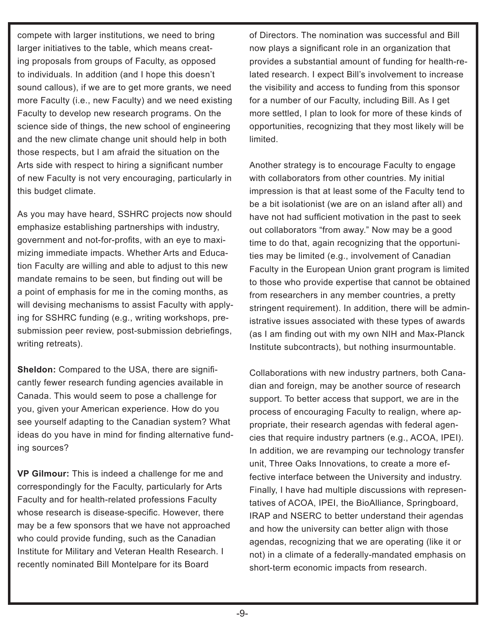compete with larger institutions, we need to bring larger initiatives to the table, which means creating proposals from groups of Faculty, as opposed to individuals. In addition (and I hope this doesn't sound callous), if we are to get more grants, we need more Faculty (i.e., new Faculty) and we need existing Faculty to develop new research programs. On the science side of things, the new school of engineering and the new climate change unit should help in both those respects, but I am afraid the situation on the Arts side with respect to hiring a significant number of new Faculty is not very encouraging, particularly in this budget climate.

As you may have heard, SSHRC projects now should emphasize establishing partnerships with industry, government and not-for-profits, with an eye to maximizing immediate impacts. Whether Arts and Education Faculty are willing and able to adjust to this new mandate remains to be seen, but finding out will be a point of emphasis for me in the coming months, as will devising mechanisms to assist Faculty with applying for SSHRC funding (e.g., writing workshops, presubmission peer review, post-submission debriefings, writing retreats).

**Sheldon:** Compared to the USA, there are significantly fewer research funding agencies available in Canada. This would seem to pose a challenge for you, given your American experience. How do you see yourself adapting to the Canadian system? What ideas do you have in mind for finding alternative funding sources?

**VP Gilmour:** This is indeed a challenge for me and correspondingly for the Faculty, particularly for Arts Faculty and for health-related professions Faculty whose research is disease-specific. However, there may be a few sponsors that we have not approached who could provide funding, such as the Canadian Institute for Military and Veteran Health Research. I recently nominated Bill Montelpare for its Board

of Directors. The nomination was successful and Bill now plays a significant role in an organization that provides a substantial amount of funding for health-related research. I expect Bill's involvement to increase the visibility and access to funding from this sponsor for a number of our Faculty, including Bill. As I get more settled, I plan to look for more of these kinds of opportunities, recognizing that they most likely will be limited.

Another strategy is to encourage Faculty to engage with collaborators from other countries. My initial impression is that at least some of the Faculty tend to be a bit isolationist (we are on an island after all) and have not had sufficient motivation in the past to seek out collaborators "from away." Now may be a good time to do that, again recognizing that the opportunities may be limited (e.g., involvement of Canadian Faculty in the European Union grant program is limited to those who provide expertise that cannot be obtained from researchers in any member countries, a pretty stringent requirement). In addition, there will be administrative issues associated with these types of awards (as I am finding out with my own NIH and Max-Planck Institute subcontracts), but nothing insurmountable.

Collaborations with new industry partners, both Canadian and foreign, may be another source of research support. To better access that support, we are in the process of encouraging Faculty to realign, where appropriate, their research agendas with federal agencies that require industry partners (e.g., ACOA, IPEI). In addition, we are revamping our technology transfer unit, Three Oaks Innovations, to create a more effective interface between the University and industry. Finally, I have had multiple discussions with representatives of ACOA, IPEI, the BioAlliance, Springboard, IRAP and NSERC to better understand their agendas and how the university can better align with those agendas, recognizing that we are operating (like it or not) in a climate of a federally-mandated emphasis on short-term economic impacts from research.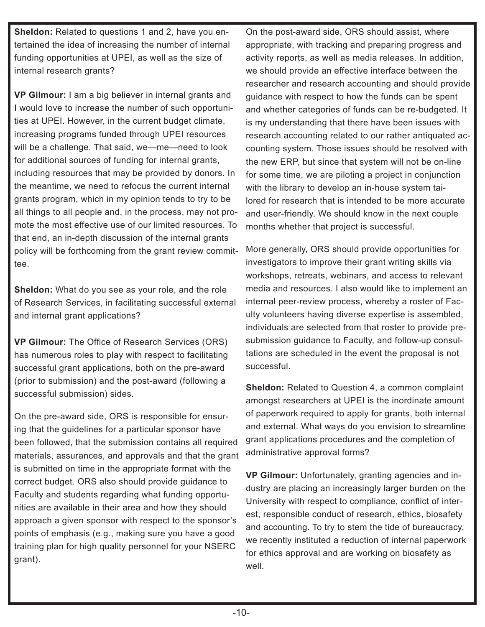**Sheldon:** Related to questions 1 and 2, have you entertained the idea of increasing the number of internal funding opportunities at UPEI, as well as the size of internal research grants?

**VP Gilmour:** I am a big believer in internal grants and I would love to increase the number of such opportunities at UPEI. However, in the current budget climate, increasing programs funded through UPEI resources will be a challenge. That said, we—me—need to look for additional sources of funding for internal grants, including resources that may be provided by donors. In the meantime, we need to refocus the current internal grants program, which in my opinion tends to try to be all things to all people and, in the process, may not promote the most effective use of our limited resources. To that end, an in-depth discussion of the internal grants policy will be forthcoming from the grant review committee.

**Sheldon:** What do you see as your role, and the role of Research Services, in facilitating successful external and internal grant applications?

**VP Gilmour:** The Office of Research Services (ORS) has numerous roles to play with respect to facilitating successful grant applications, both on the pre-award (prior to submission) and the post-award (following a successful submission) sides.

On the pre-award side, ORS is responsible for ensuring that the guidelines for a particular sponsor have been followed, that the submission contains all required materials, assurances, and approvals and that the grant is submitted on time in the appropriate format with the correct budget. ORS also should provide guidance to Faculty and students regarding what funding opportunities are available in their area and how they should approach a given sponsor with respect to the sponsor's points of emphasis (e.g., making sure you have a good training plan for high quality personnel for your NSERC grant).

On the post-award side, ORS should assist, where appropriate, with tracking and preparing progress and activity reports, as well as media releases. In addition, we should provide an effective interface between the researcher and research accounting and should provide guidance with respect to how the funds can be spent and whether categories of funds can be re-budgeted. It is my understanding that there have been issues with research accounting related to our rather antiquated accounting system. Those issues should be resolved with the new ERP, but since that system will not be on-line for some time, we are piloting a project in conjunction with the library to develop an in-house system tailored for research that is intended to be more accurate and user-friendly. We should know in the next couple months whether that project is successful.

More generally, ORS should provide opportunities for investigators to improve their grant writing skills via workshops, retreats, webinars, and access to relevant media and resources. I also would like to implement an internal peer-review process, whereby a roster of Faculty volunteers having diverse expertise is assembled, individuals are selected from that roster to provide presubmission guidance to Faculty, and follow-up consultations are scheduled in the event the proposal is not successful.

**Sheldon:** Related to Question 4, a common complaint amongst researchers at UPEI is the inordinate amount of paperwork required to apply for grants, both internal and external. What ways do you envision to streamline grant applications procedures and the completion of administrative approval forms?

**VP Gilmour:** Unfortunately, granting agencies and industry are placing an increasingly larger burden on the University with respect to compliance, conflict of interest, responsible conduct of research, ethics, biosafety and accounting. To try to stem the tide of bureaucracy, we recently instituted a reduction of internal paperwork for ethics approval and are working on biosafety as well.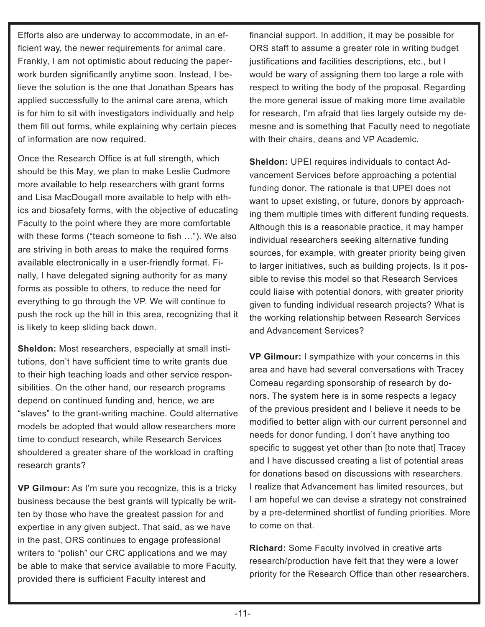Efforts also are underway to accommodate, in an efficient way, the newer requirements for animal care. Frankly, I am not optimistic about reducing the paperwork burden significantly anytime soon. Instead, I believe the solution is the one that Jonathan Spears has applied successfully to the animal care arena, which is for him to sit with investigators individually and help them fill out forms, while explaining why certain pieces of information are now required.

Once the Research Office is at full strength, which should be this May, we plan to make Leslie Cudmore more available to help researchers with grant forms and Lisa MacDougall more available to help with ethics and biosafety forms, with the objective of educating Faculty to the point where they are more comfortable with these forms ("teach someone to fish …"). We also are striving in both areas to make the required forms available electronically in a user-friendly format. Finally, I have delegated signing authority for as many forms as possible to others, to reduce the need for everything to go through the VP. We will continue to push the rock up the hill in this area, recognizing that it is likely to keep sliding back down.

**Sheldon:** Most researchers, especially at small institutions, don't have sufficient time to write grants due to their high teaching loads and other service responsibilities. On the other hand, our research programs depend on continued funding and, hence, we are "slaves" to the grant-writing machine. Could alternative models be adopted that would allow researchers more time to conduct research, while Research Services shouldered a greater share of the workload in crafting research grants?

**VP Gilmour:** As I'm sure you recognize, this is a tricky business because the best grants will typically be written by those who have the greatest passion for and expertise in any given subject. That said, as we have in the past, ORS continues to engage professional writers to "polish" our CRC applications and we may be able to make that service available to more Faculty, provided there is sufficient Faculty interest and

financial support. In addition, it may be possible for ORS staff to assume a greater role in writing budget justifications and facilities descriptions, etc., but I would be wary of assigning them too large a role with respect to writing the body of the proposal. Regarding the more general issue of making more time available for research, I'm afraid that lies largely outside my demesne and is something that Faculty need to negotiate with their chairs, deans and VP Academic.

**Sheldon:** UPEI requires individuals to contact Advancement Services before approaching a potential funding donor. The rationale is that UPEI does not want to upset existing, or future, donors by approaching them multiple times with different funding requests. Although this is a reasonable practice, it may hamper individual researchers seeking alternative funding sources, for example, with greater priority being given to larger initiatives, such as building projects. Is it possible to revise this model so that Research Services could liaise with potential donors, with greater priority given to funding individual research projects? What is the working relationship between Research Services and Advancement Services?

**VP Gilmour:** I sympathize with your concerns in this area and have had several conversations with Tracey Comeau regarding sponsorship of research by donors. The system here is in some respects a legacy of the previous president and I believe it needs to be modified to better align with our current personnel and needs for donor funding. I don't have anything too specific to suggest yet other than [to note that] Tracey and I have discussed creating a list of potential areas for donations based on discussions with researchers. I realize that Advancement has limited resources, but I am hopeful we can devise a strategy not constrained by a pre-determined shortlist of funding priorities. More to come on that.

**Richard:** Some Faculty involved in creative arts research/production have felt that they were a lower priority for the Research Office than other researchers.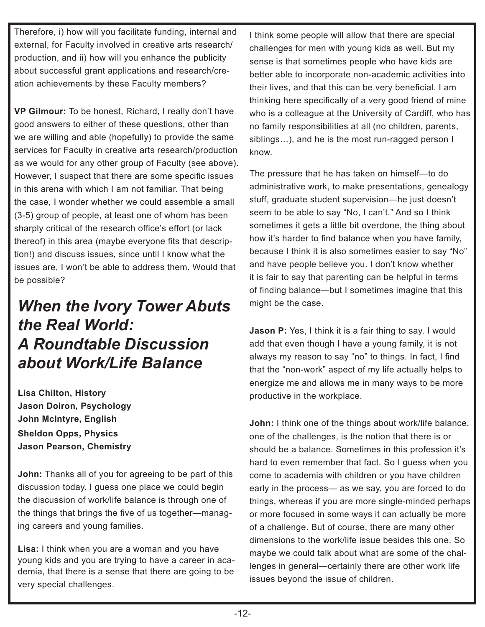Therefore, i) how will you facilitate funding, internal and external, for Faculty involved in creative arts research/ production, and ii) how will you enhance the publicity about successful grant applications and research/creation achievements by these Faculty members?

**VP Gilmour:** To be honest, Richard, I really don't have good answers to either of these questions, other than we are willing and able (hopefully) to provide the same services for Faculty in creative arts research/production as we would for any other group of Faculty (see above). However, I suspect that there are some specific issues in this arena with which I am not familiar. That being the case, I wonder whether we could assemble a small (3-5) group of people, at least one of whom has been sharply critical of the research office's effort (or lack thereof) in this area (maybe everyone fits that description!) and discuss issues, since until I know what the issues are, I won't be able to address them. Would that be possible?

### *When the Ivory Tower Abuts the Real World: A Roundtable Discussion about Work/Life Balance*

**Lisa Chilton, History Jason Doiron, Psychology John McIntyre, English Sheldon Opps, Physics Jason Pearson, Chemistry**

**John:** Thanks all of you for agreeing to be part of this discussion today. I guess one place we could begin the discussion of work/life balance is through one of the things that brings the five of us together—managing careers and young families.

**Lisa:** I think when you are a woman and you have young kids and you are trying to have a career in academia, that there is a sense that there are going to be very special challenges.

I think some people will allow that there are special challenges for men with young kids as well. But my sense is that sometimes people who have kids are better able to incorporate non-academic activities into their lives, and that this can be very beneficial. I am thinking here specifically of a very good friend of mine who is a colleague at the University of Cardiff, who has no family responsibilities at all (no children, parents, siblings…), and he is the most run-ragged person I know.

The pressure that he has taken on himself—to do administrative work, to make presentations, genealogy stuff, graduate student supervision—he just doesn't seem to be able to say "No, I can't." And so I think sometimes it gets a little bit overdone, the thing about how it's harder to find balance when you have family, because I think it is also sometimes easier to say "No" and have people believe you. I don't know whether it is fair to say that parenting can be helpful in terms of finding balance—but I sometimes imagine that this might be the case.

**Jason P:** Yes, I think it is a fair thing to say. I would add that even though I have a young family, it is not always my reason to say "no" to things. In fact, I find that the "non-work" aspect of my life actually helps to energize me and allows me in many ways to be more productive in the workplace.

**John:** I think one of the things about work/life balance, one of the challenges, is the notion that there is or should be a balance. Sometimes in this profession it's hard to even remember that fact. So I guess when you come to academia with children or you have children early in the process— as we say, you are forced to do things, whereas if you are more single-minded perhaps or more focused in some ways it can actually be more of a challenge. But of course, there are many other dimensions to the work/life issue besides this one. So maybe we could talk about what are some of the challenges in general—certainly there are other work life issues beyond the issue of children.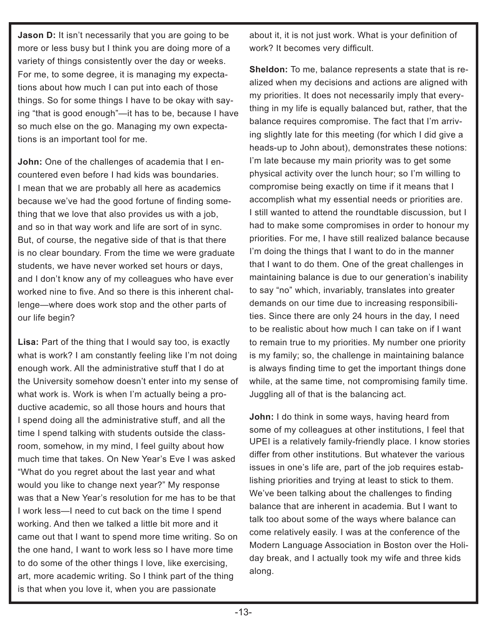**Jason D:** It isn't necessarily that you are going to be more or less busy but I think you are doing more of a variety of things consistently over the day or weeks. For me, to some degree, it is managing my expectations about how much I can put into each of those things. So for some things I have to be okay with saying "that is good enough"—it has to be, because I have so much else on the go. Managing my own expectations is an important tool for me.

**John:** One of the challenges of academia that I encountered even before I had kids was boundaries. I mean that we are probably all here as academics because we've had the good fortune of finding something that we love that also provides us with a job, and so in that way work and life are sort of in sync. But, of course, the negative side of that is that there is no clear boundary. From the time we were graduate students, we have never worked set hours or days, and I don't know any of my colleagues who have ever worked nine to five. And so there is this inherent challenge—where does work stop and the other parts of our life begin?

**Lisa:** Part of the thing that I would say too, is exactly what is work? I am constantly feeling like I'm not doing enough work. All the administrative stuff that I do at the University somehow doesn't enter into my sense of what work is. Work is when I'm actually being a productive academic, so all those hours and hours that I spend doing all the administrative stuff, and all the time I spend talking with students outside the classroom, somehow, in my mind, I feel guilty about how much time that takes. On New Year's Eve I was asked "What do you regret about the last year and what would you like to change next year?" My response was that a New Year's resolution for me has to be that I work less—I need to cut back on the time I spend working. And then we talked a little bit more and it came out that I want to spend more time writing. So on the one hand, I want to work less so I have more time to do some of the other things I love, like exercising, art, more academic writing. So I think part of the thing is that when you love it, when you are passionate

about it, it is not just work. What is your definition of work? It becomes very difficult.

**Sheldon:** To me, balance represents a state that is realized when my decisions and actions are aligned with my priorities. It does not necessarily imply that everything in my life is equally balanced but, rather, that the balance requires compromise. The fact that I'm arriving slightly late for this meeting (for which I did give a heads-up to John about), demonstrates these notions: I'm late because my main priority was to get some physical activity over the lunch hour; so I'm willing to compromise being exactly on time if it means that I accomplish what my essential needs or priorities are. I still wanted to attend the roundtable discussion, but I had to make some compromises in order to honour my priorities. For me, I have still realized balance because I'm doing the things that I want to do in the manner that I want to do them. One of the great challenges in maintaining balance is due to our generation's inability to say "no" which, invariably, translates into greater demands on our time due to increasing responsibilities. Since there are only 24 hours in the day, I need to be realistic about how much I can take on if I want to remain true to my priorities. My number one priority is my family; so, the challenge in maintaining balance is always finding time to get the important things done while, at the same time, not compromising family time. Juggling all of that is the balancing act.

**John:** I do think in some ways, having heard from some of my colleagues at other institutions, I feel that UPEI is a relatively family-friendly place. I know stories differ from other institutions. But whatever the various issues in one's life are, part of the job requires establishing priorities and trying at least to stick to them. We've been talking about the challenges to finding balance that are inherent in academia. But I want to talk too about some of the ways where balance can come relatively easily. I was at the conference of the Modern Language Association in Boston over the Holiday break, and I actually took my wife and three kids along.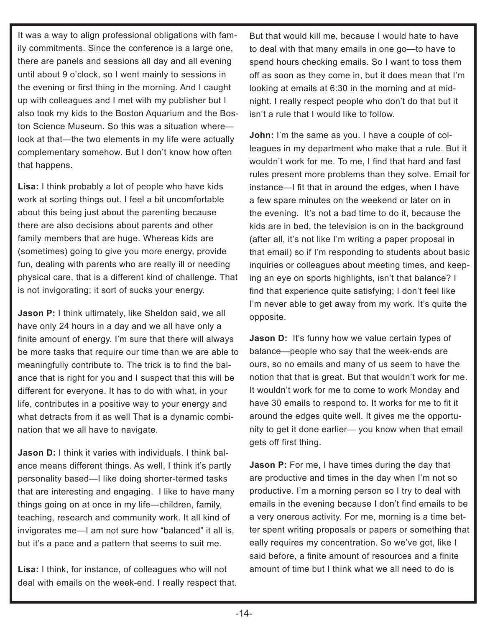It was a way to align professional obligations with family commitments. Since the conference is a large one, there are panels and sessions all day and all evening until about 9 o'clock, so I went mainly to sessions in the evening or first thing in the morning. And I caught up with colleagues and I met with my publisher but I also took my kids to the Boston Aquarium and the Boston Science Museum. So this was a situation where look at that—the two elements in my life were actually complementary somehow. But I don't know how often that happens.

**Lisa:** I think probably a lot of people who have kids work at sorting things out. I feel a bit uncomfortable about this being just about the parenting because there are also decisions about parents and other family members that are huge. Whereas kids are (sometimes) going to give you more energy, provide fun, dealing with parents who are really ill or needing physical care, that is a different kind of challenge. That is not invigorating; it sort of sucks your energy.

**Jason P:** I think ultimately, like Sheldon said, we all have only 24 hours in a day and we all have only a finite amount of energy. I'm sure that there will always be more tasks that require our time than we are able to meaningfully contribute to. The trick is to find the balance that is right for you and I suspect that this will be different for everyone. It has to do with what, in your life, contributes in a positive way to your energy and what detracts from it as well That is a dynamic combination that we all have to navigate.

**Jason D:** I think it varies with individuals. I think balance means different things. As well, I think it's partly personality based—I like doing shorter-termed tasks that are interesting and engaging. I like to have many things going on at once in my life—children, family, teaching, research and community work. It all kind of invigorates me—I am not sure how "balanced" it all is, but it's a pace and a pattern that seems to suit me.

**Lisa:** I think, for instance, of colleagues who will not deal with emails on the week-end. I really respect that. But that would kill me, because I would hate to have to deal with that many emails in one go—to have to spend hours checking emails. So I want to toss them off as soon as they come in, but it does mean that I'm looking at emails at 6:30 in the morning and at midnight. I really respect people who don't do that but it isn't a rule that I would like to follow.

**John:** I'm the same as you. I have a couple of colleagues in my department who make that a rule. But it wouldn't work for me. To me, I find that hard and fast rules present more problems than they solve. Email for instance—I fit that in around the edges, when I have a few spare minutes on the weekend or later on in the evening. It's not a bad time to do it, because the kids are in bed, the television is on in the background (after all, it's not like I'm writing a paper proposal in that email) so if I'm responding to students about basic inquiries or colleagues about meeting times, and keeping an eye on sports highlights, isn't that balance? I find that experience quite satisfying; I don't feel like I'm never able to get away from my work. It's quite the opposite.

**Jason D:** It's funny how we value certain types of balance—people who say that the week-ends are ours, so no emails and many of us seem to have the notion that that is great. But that wouldn't work for me. It wouldn't work for me to come to work Monday and have 30 emails to respond to. It works for me to fit it around the edges quite well. It gives me the opportunity to get it done earlier— you know when that email gets off first thing.

**Jason P:** For me, I have times during the day that are productive and times in the day when I'm not so productive. I'm a morning person so I try to deal with emails in the evening because I don't find emails to be a very onerous activity. For me, morning is a time better spent writing proposals or papers or something that eally requires my concentration. So we've got, like I said before, a finite amount of resources and a finite amount of time but I think what we all need to do is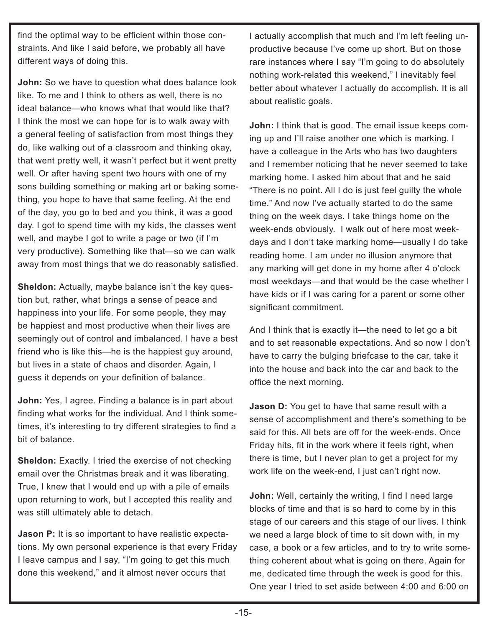find the optimal way to be efficient within those constraints. And like I said before, we probably all have different ways of doing this.

**John:** So we have to question what does balance look like. To me and I think to others as well, there is no ideal balance—who knows what that would like that? I think the most we can hope for is to walk away with a general feeling of satisfaction from most things they do, like walking out of a classroom and thinking okay, that went pretty well, it wasn't perfect but it went pretty well. Or after having spent two hours with one of my sons building something or making art or baking something, you hope to have that same feeling. At the end of the day, you go to bed and you think, it was a good day. I got to spend time with my kids, the classes went well, and maybe I got to write a page or two (if I'm very productive). Something like that—so we can walk away from most things that we do reasonably satisfied.

**Sheldon:** Actually, maybe balance isn't the key question but, rather, what brings a sense of peace and happiness into your life. For some people, they may be happiest and most productive when their lives are seemingly out of control and imbalanced. I have a best friend who is like this—he is the happiest guy around, but lives in a state of chaos and disorder. Again, I guess it depends on your definition of balance.

**John:** Yes, I agree. Finding a balance is in part about finding what works for the individual. And I think sometimes, it's interesting to try different strategies to find a bit of balance.

**Sheldon:** Exactly. I tried the exercise of not checking email over the Christmas break and it was liberating. True, I knew that I would end up with a pile of emails upon returning to work, but I accepted this reality and was still ultimately able to detach.

**Jason P:** It is so important to have realistic expectations. My own personal experience is that every Friday I leave campus and I say, "I'm going to get this much done this weekend," and it almost never occurs that

I actually accomplish that much and I'm left feeling unproductive because I've come up short. But on those rare instances where I say "I'm going to do absolutely nothing work-related this weekend," I inevitably feel better about whatever I actually do accomplish. It is all about realistic goals.

**John:** I think that is good. The email issue keeps coming up and I'll raise another one which is marking. I have a colleague in the Arts who has two daughters and I remember noticing that he never seemed to take marking home. I asked him about that and he said "There is no point. All I do is just feel guilty the whole time." And now I've actually started to do the same thing on the week days. I take things home on the week-ends obviously. I walk out of here most weekdays and I don't take marking home—usually I do take reading home. I am under no illusion anymore that any marking will get done in my home after 4 o'clock most weekdays—and that would be the case whether I have kids or if I was caring for a parent or some other significant commitment.

And I think that is exactly it—the need to let go a bit and to set reasonable expectations. And so now I don't have to carry the bulging briefcase to the car, take it into the house and back into the car and back to the office the next morning.

**Jason D:** You get to have that same result with a sense of accomplishment and there's something to be said for this. All bets are off for the week-ends. Once Friday hits, fit in the work where it feels right, when there is time, but I never plan to get a project for my work life on the week-end, I just can't right now.

**John:** Well, certainly the writing, I find I need large blocks of time and that is so hard to come by in this stage of our careers and this stage of our lives. I think we need a large block of time to sit down with, in my case, a book or a few articles, and to try to write something coherent about what is going on there. Again for me, dedicated time through the week is good for this. One year I tried to set aside between 4:00 and 6:00 on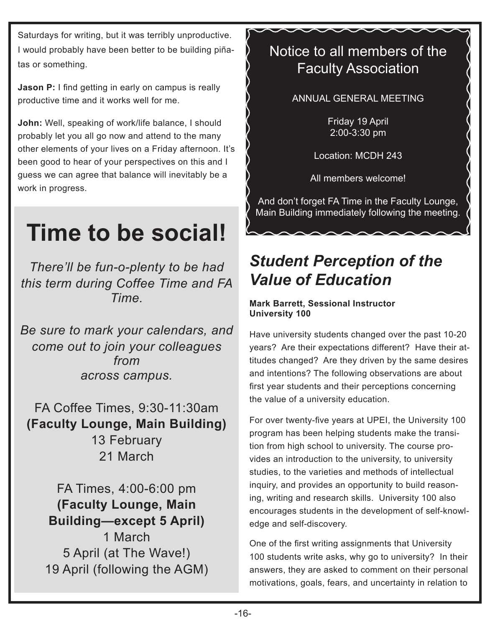Saturdays for writing, but it was terribly unproductive. I would probably have been better to be building piñatas or something.

**Jason P:** I find getting in early on campus is really productive time and it works well for me.

**John:** Well, speaking of work/life balance, I should probably let you all go now and attend to the many other elements of your lives on a Friday afternoon. It's been good to hear of your perspectives on this and I guess we can agree that balance will inevitably be a work in progress.

# **Time to be social!**

*There'll be fun-o-plenty to be had this term during Coffee Time and FA Time.* 

*Be sure to mark your calendars, and come out to join your colleagues from across campus.*

FA Coffee Times, 9:30-11:30am **(Faculty Lounge, Main Building)** 13 February 21 March

FA Times, 4:00-6:00 pm **(Faculty Lounge, Main Building—except 5 April)** 1 March 5 April (at The Wave!) 19 April (following the AGM)

### Notice to all members of the Faculty Association

ANNUAL GENERAL MEETING

Friday 19 April 2:00-3:30 pm

Location: MCDH 243

All members welcome!

And don't forget FA Time in the Faculty Lounge, Main Building immediately following the meeting.

### *Student Perception of the Value of Education*

#### **Mark Barrett, Sessional Instructor University 100**

Have university students changed over the past 10-20 years? Are their expectations different? Have their attitudes changed? Are they driven by the same desires and intentions? The following observations are about first year students and their perceptions concerning the value of a university education.

For over twenty-five years at UPEI, the University 100 program has been helping students make the transition from high school to university. The course provides an introduction to the university, to university studies, to the varieties and methods of intellectual inquiry, and provides an opportunity to build reasoning, writing and research skills. University 100 also encourages students in the development of self-knowledge and self-discovery.

One of the first writing assignments that University 100 students write asks, why go to university? In their answers, they are asked to comment on their personal motivations, goals, fears, and uncertainty in relation to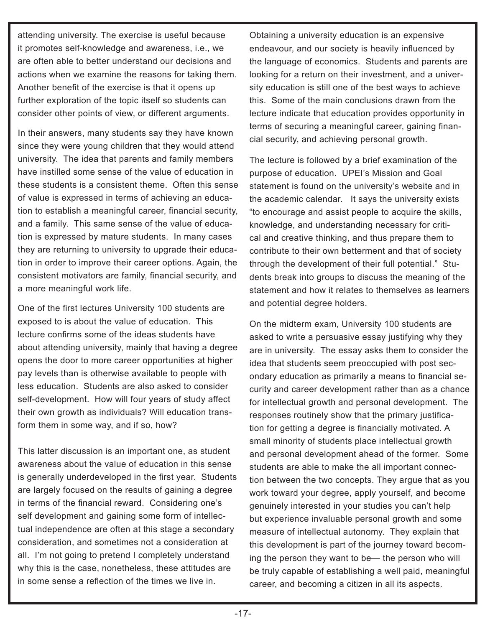attending university. The exercise is useful because it promotes self-knowledge and awareness, i.e., we are often able to better understand our decisions and actions when we examine the reasons for taking them. Another benefit of the exercise is that it opens up further exploration of the topic itself so students can consider other points of view, or different arguments.

In their answers, many students say they have known since they were young children that they would attend university. The idea that parents and family members have instilled some sense of the value of education in these students is a consistent theme. Often this sense of value is expressed in terms of achieving an education to establish a meaningful career, financial security, and a family. This same sense of the value of education is expressed by mature students. In many cases they are returning to university to upgrade their education in order to improve their career options. Again, the consistent motivators are family, financial security, and a more meaningful work life.

One of the first lectures University 100 students are exposed to is about the value of education. This lecture confirms some of the ideas students have about attending university, mainly that having a degree opens the door to more career opportunities at higher pay levels than is otherwise available to people with less education. Students are also asked to consider self-development. How will four years of study affect their own growth as individuals? Will education transform them in some way, and if so, how?

This latter discussion is an important one, as student awareness about the value of education in this sense is generally underdeveloped in the first year. Students are largely focused on the results of gaining a degree in terms of the financial reward. Considering one's self development and gaining some form of intellectual independence are often at this stage a secondary consideration, and sometimes not a consideration at all. I'm not going to pretend I completely understand why this is the case, nonetheless, these attitudes are in some sense a reflection of the times we live in.

Obtaining a university education is an expensive endeavour, and our society is heavily influenced by the language of economics. Students and parents are looking for a return on their investment, and a university education is still one of the best ways to achieve this. Some of the main conclusions drawn from the lecture indicate that education provides opportunity in terms of securing a meaningful career, gaining financial security, and achieving personal growth.

The lecture is followed by a brief examination of the purpose of education. UPEI's Mission and Goal statement is found on the university's website and in the academic calendar. It says the university exists "to encourage and assist people to acquire the skills, knowledge, and understanding necessary for critical and creative thinking, and thus prepare them to contribute to their own betterment and that of society through the development of their full potential." Students break into groups to discuss the meaning of the statement and how it relates to themselves as learners and potential degree holders.

On the midterm exam, University 100 students are asked to write a persuasive essay justifying why they are in university. The essay asks them to consider the idea that students seem preoccupied with post secondary education as primarily a means to financial security and career development rather than as a chance for intellectual growth and personal development. The responses routinely show that the primary justification for getting a degree is financially motivated. A small minority of students place intellectual growth and personal development ahead of the former. Some students are able to make the all important connection between the two concepts. They argue that as you work toward your degree, apply yourself, and become genuinely interested in your studies you can't help but experience invaluable personal growth and some measure of intellectual autonomy. They explain that this development is part of the journey toward becoming the person they want to be— the person who will be truly capable of establishing a well paid, meaningful career, and becoming a citizen in all its aspects.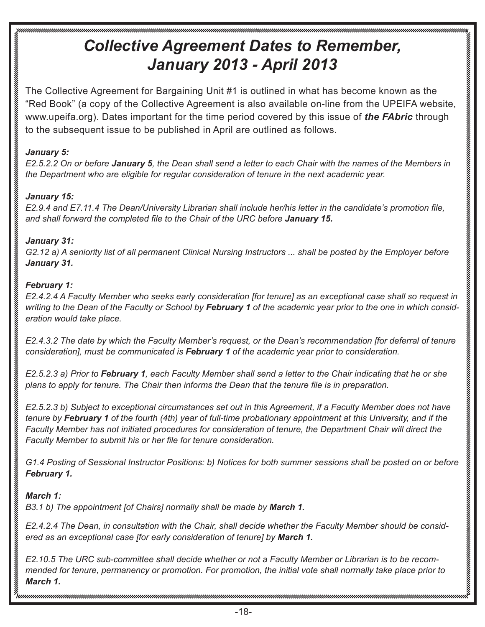### *Collective Agreement Dates to Remember, January 2013 - April 2013*

The Collective Agreement for Bargaining Unit #1 is outlined in what has become known as the "Red Book" (a copy of the Collective Agreement is also available on-line from the UPEIFA website, www.upeifa.org). Dates important for the time period covered by this issue of *the FAbric* through to the subsequent issue to be published in April are outlined as follows.

#### *January 5:*

*E2.5.2.2 On or before January 5, the Dean shall send a letter to each Chair with the names of the Members in the Department who are eligible for regular consideration of tenure in the next academic year.*

#### *January 15:*

*E2.9.4 and E7.11.4 The Dean/University Librarian shall include her/his letter in the candidate's promotion file, and shall forward the completed file to the Chair of the URC before January 15.*

#### *January 31:*

*G2.12 a) A seniority list of all permanent Clinical Nursing Instructors ... shall be posted by the Employer before January 31.*

#### *February 1:*

*E2.4.2.4 A Faculty Member who seeks early consideration [for tenure] as an exceptional case shall so request in writing to the Dean of the Faculty or School by February 1 of the academic year prior to the one in which consideration would take place.* 

*E2.4.3.2 The date by which the Faculty Member's request, or the Dean's recommendation [for deferral of tenure consideration], must be communicated is February 1 of the academic year prior to consideration.*

*E2.5.2.3 a) Prior to February 1, each Faculty Member shall send a letter to the Chair indicating that he or she plans to apply for tenure. The Chair then informs the Dean that the tenure file is in preparation.*

*E2.5.2.3 b) Subject to exceptional circumstances set out in this Agreement, if a Faculty Member does not have tenure by February 1 of the fourth (4th) year of full-time probationary appointment at this University, and if the Faculty Member has not initiated procedures for consideration of tenure, the Department Chair will direct the Faculty Member to submit his or her file for tenure consideration.*

*G1.4 Posting of Sessional Instructor Positions: b) Notices for both summer sessions shall be posted on or before February 1.* 

#### *March 1:*

*B3.1 b) The appointment [of Chairs] normally shall be made by March 1.*

*E2.4.2.4 The Dean, in consultation with the Chair, shall decide whether the Faculty Member should be considered as an exceptional case [for early consideration of tenure] by March 1.* 

*E2.10.5 The URC sub-committee shall decide whether or not a Faculty Member or Librarian is to be recommended for tenure, permanency or promotion. For promotion, the initial vote shall normally take place prior to March 1.*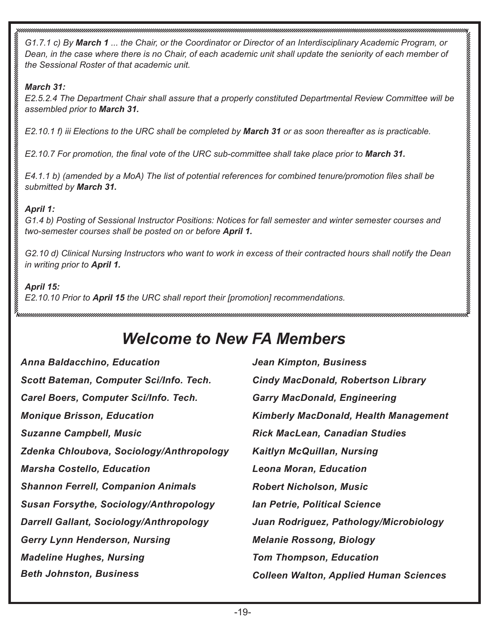*G1.7.1 c) By March 1 ... the Chair, or the Coordinator or Director of an Interdisciplinary Academic Program, or Dean, in the case where there is no Chair, of each academic unit shall update the seniority of each member of the Sessional Roster of that academic unit.*

#### *March 31:*

*E2.5.2.4 The Department Chair shall assure that a properly constituted Departmental Review Committee will be assembled prior to March 31.*

*E2.10.1 f) iii Elections to the URC shall be completed by March 31 or as soon thereafter as is practicable.*

*E2.10.7 For promotion, the final vote of the URC sub-committee shall take place prior to March 31.*

*E4.1.1 b) (amended by a MoA) The list of potential references for combined tenure/promotion files shall be submitted by March 31.*

#### *April 1:*

*G1.4 b) Posting of Sessional Instructor Positions: Notices for fall semester and winter semester courses and two-semester courses shall be posted on or before April 1.* 

*G2.10 d) Clinical Nursing Instructors who want to work in excess of their contracted hours shall notify the Dean in writing prior to April 1.* 

#### *April 15:*

*E2.10.10 Prior to April 15 the URC shall report their [promotion] recommendations.*

### *Welcome to New FA Members*

| <b>Anna Baldacchino, Education</b>             | <b>Jean Kimpton, Business</b>                 |
|------------------------------------------------|-----------------------------------------------|
| Scott Bateman, Computer Sci/Info. Tech.        | <b>Cindy MacDonald, Robertson Library</b>     |
| Carel Boers, Computer Sci/Info. Tech.          | <b>Garry MacDonald, Engineering</b>           |
| <b>Monique Brisson, Education</b>              | <b>Kimberly MacDonald, Health Management</b>  |
| <b>Suzanne Campbell, Music</b>                 | <b>Rick MacLean, Canadian Studies</b>         |
| Zdenka Chloubova, Sociology/Anthropology       | <b>Kaitlyn McQuillan, Nursing</b>             |
| <b>Marsha Costello, Education</b>              | <b>Leona Moran, Education</b>                 |
| <b>Shannon Ferrell, Companion Animals</b>      | <b>Robert Nicholson, Music</b>                |
| <b>Susan Forsythe, Sociology/Anthropology</b>  | <b>Ian Petrie, Political Science</b>          |
| <b>Darrell Gallant, Sociology/Anthropology</b> | Juan Rodriguez, Pathology/Microbiology        |
| <b>Gerry Lynn Henderson, Nursing</b>           | <b>Melanie Rossong, Biology</b>               |
| <b>Madeline Hughes, Nursing</b>                | <b>Tom Thompson, Education</b>                |
| <b>Beth Johnston, Business</b>                 | <b>Colleen Walton, Applied Human Sciences</b> |